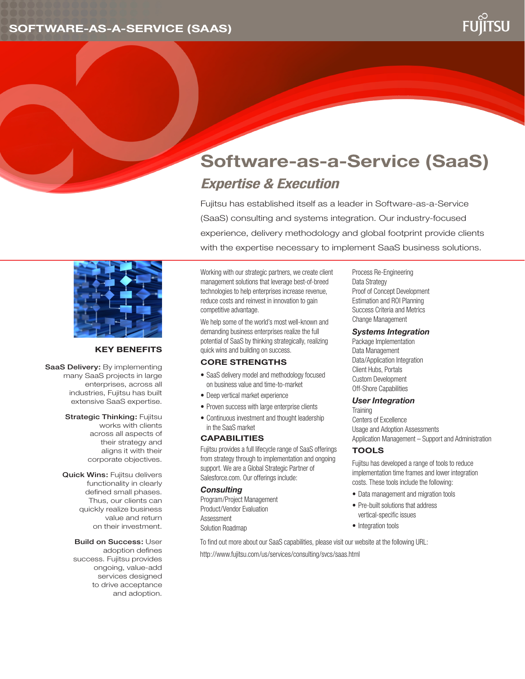

# **Software-as-a-Service (SaaS)** *Expertise & Execution*

Fujitsu has established itself as a leader in Software-as-a-Service (SaaS) consulting and systems integration. Our industry-focused experience, delivery methodology and global footprint provide clients with the expertise necessary to implement SaaS business solutions.



## **Key Benefits**

SaaS Delivery: By implementing many SaaS projects in large enterprises, across all industries, Fujitsu has built extensive SaaS expertise.

> **Strategic Thinking: Fujitsu** works with clients across all aspects of their strategy and aligns it with their corporate objectives.

Quick Wins: Fujitsu delivers functionality in clearly defined small phases. Thus, our clients can quickly realize business value and return on their investment.

> Build on Success: User adoption defines success. Fujitsu provides ongoing, value-add services designed to drive acceptance and adoption.

Working with our strategic partners, we create client management solutions that leverage best-of-breed technologies to help enterprises increase revenue, reduce costs and reinvest in innovation to gain competitive advantage.

We help some of the world's most well-known and demanding business enterprises realize the full potential of SaaS by thinking strategically, realizing quick wins and building on success.

#### **Core Strengths**

- SaaS delivery model and methodology focused on business value and time-to-market
- Deep vertical market experience
- Proven success with large enterprise clients
- Continuous investment and thought leadership in the SaaS market

#### **CAPABILITIES**

Fujitsu provides a full lifecycle range of SaaS offerings from strategy through to implementation and ongoing support. We are a Global Strategic Partner of Salesforce.com. Our offerings include:

#### *Consulting*

Program/Project Management Product/Vendor Evaluation Assessment Solution Roadmap

Process Re-Engineering Data Strategy Proof of Concept Development Estimation and ROI Planning Success Criteria and Metrics Change Management

#### *Systems Integration*

Package Implementation Data Management Data/Application Integration Client Hubs, Portals Custom Development Off-Shore Capabilities

#### *User Integration*

**Training** Centers of Excellence Usage and Adoption Assessments Application Management – Support and Administration

### **Tools**

Fujitsu has developed a range of tools to reduce implementation time frames and lower integration costs. These tools include the following:

- Data management and migration tools
- Pre-built solutions that address vertical-specific issues
- Integration tools

To find out more about our SaaS capabilities, please visit our website at the following URL: http://www.fujitsu.com/us/services/consulting/svcs/saas.html